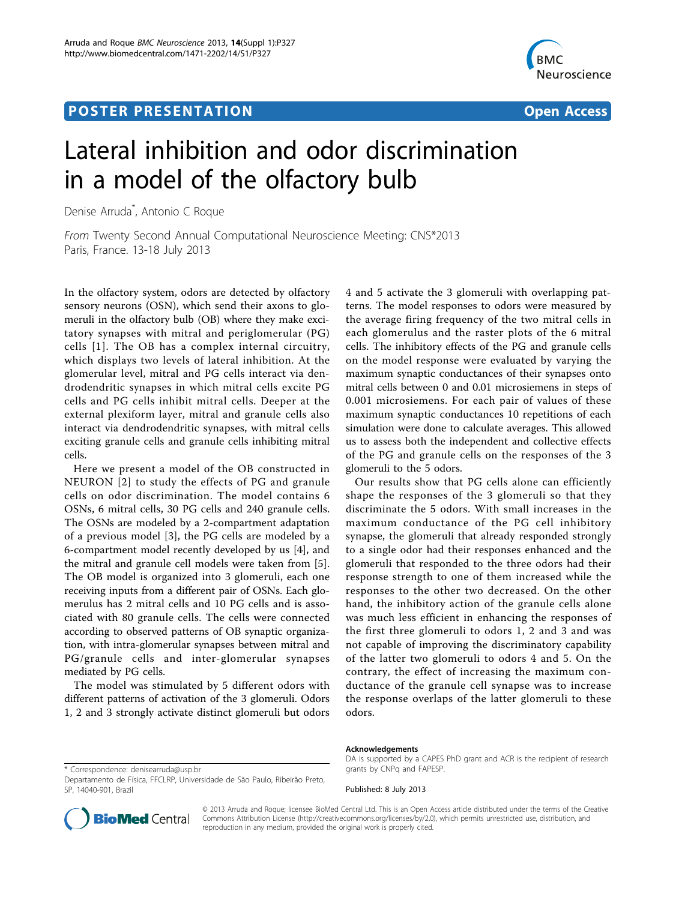## **POSTER PRESENTATION CONSUMING THE SERVICE SERVICE SERVICE SERVICES**



# Lateral inhibition and odor discrimination in a model of the olfactory bulb

Denise Arruda\* , Antonio C Roque

From Twenty Second Annual Computational Neuroscience Meeting: CNS\*2013 Paris, France. 13-18 July 2013

In the olfactory system, odors are detected by olfactory sensory neurons (OSN), which send their axons to glomeruli in the olfactory bulb (OB) where they make excitatory synapses with mitral and periglomerular (PG) cells [[1\]](#page-1-0). The OB has a complex internal circuitry, which displays two levels of lateral inhibition. At the glomerular level, mitral and PG cells interact via dendrodendritic synapses in which mitral cells excite PG cells and PG cells inhibit mitral cells. Deeper at the external plexiform layer, mitral and granule cells also interact via dendrodendritic synapses, with mitral cells exciting granule cells and granule cells inhibiting mitral cells.

Here we present a model of the OB constructed in NEURON [[2](#page-1-0)] to study the effects of PG and granule cells on odor discrimination. The model contains 6 OSNs, 6 mitral cells, 30 PG cells and 240 granule cells. The OSNs are modeled by a 2-compartment adaptation of a previous model [\[3](#page-1-0)], the PG cells are modeled by a 6-compartment model recently developed by us [[4\]](#page-1-0), and the mitral and granule cell models were taken from [\[5](#page-1-0)]. The OB model is organized into 3 glomeruli, each one receiving inputs from a different pair of OSNs. Each glomerulus has 2 mitral cells and 10 PG cells and is associated with 80 granule cells. The cells were connected according to observed patterns of OB synaptic organization, with intra-glomerular synapses between mitral and PG/granule cells and inter-glomerular synapses mediated by PG cells.

The model was stimulated by 5 different odors with different patterns of activation of the 3 glomeruli. Odors 1, 2 and 3 strongly activate distinct glomeruli but odors

\* Correspondence: [denisearruda@usp.br](mailto:denisearruda@usp.br)

4 and 5 activate the 3 glomeruli with overlapping patterns. The model responses to odors were measured by the average firing frequency of the two mitral cells in each glomerulus and the raster plots of the 6 mitral cells. The inhibitory effects of the PG and granule cells on the model response were evaluated by varying the maximum synaptic conductances of their synapses onto mitral cells between 0 and 0.01 microsiemens in steps of 0.001 microsiemens. For each pair of values of these maximum synaptic conductances 10 repetitions of each simulation were done to calculate averages. This allowed us to assess both the independent and collective effects of the PG and granule cells on the responses of the 3 glomeruli to the 5 odors.

Our results show that PG cells alone can efficiently shape the responses of the 3 glomeruli so that they discriminate the 5 odors. With small increases in the maximum conductance of the PG cell inhibitory synapse, the glomeruli that already responded strongly to a single odor had their responses enhanced and the glomeruli that responded to the three odors had their response strength to one of them increased while the responses to the other two decreased. On the other hand, the inhibitory action of the granule cells alone was much less efficient in enhancing the responses of the first three glomeruli to odors 1, 2 and 3 and was not capable of improving the discriminatory capability of the latter two glomeruli to odors 4 and 5. On the contrary, the effect of increasing the maximum conductance of the granule cell synapse was to increase the response overlaps of the latter glomeruli to these odors.

#### Acknowledgements

DA is supported by a CAPES PhD grant and ACR is the recipient of research grants by CNPq and FAPESP.

Published: 8 July 2013



© 2013 Arruda and Roque; licensee BioMed Central Ltd. This is an Open Access article distributed under the terms of the Creative Commons Attribution License [\(http://creativecommons.org/licenses/by/2.0](http://creativecommons.org/licenses/by/2.0)), which permits unrestricted use, distribution, and reproduction in any medium, provided the original work is properly cited.

Departamento de Física, FFCLRP, Universidade de São Paulo, Ribeirão Preto, SP, 14040-901, Brazil